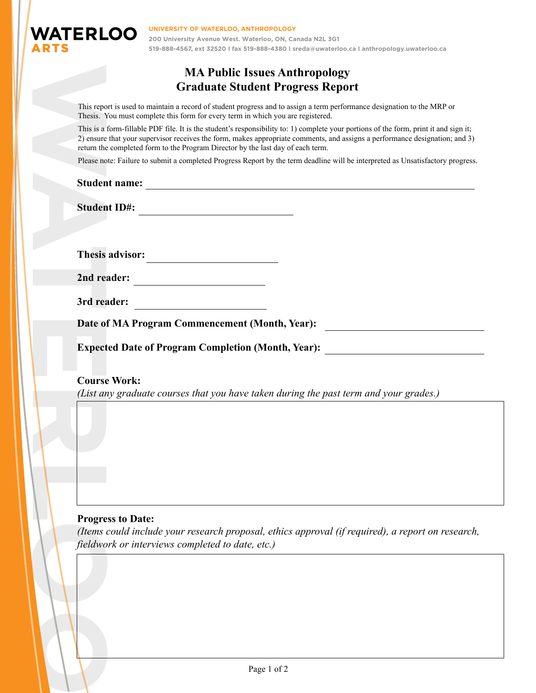

## **MA Public Issues Anthropology Graduate Student Progress Report**

This report is used to maintain a record of student progress and to assign a term performance designation to the MRP or Thesis. You must complete this form for every term in which you are registered.

This reporter<br>
This is a i<br>
2) ensure<br>
return the<br>
Please no<br> **Studen<br>
Studen**<br> **Studen**<br> **Course**<br> **Course**<br> *Course*<br> *List an*<br> *Course*<br> *List an*<br> *Please of*<br> *Expect*<br>
Course<br> *List an*<br> *fleedwo* This is a form-fillable PDF file. It is the student's responsibility to: 1) complete your portions of the form, print it and sign it; 2) ensure that your supervisor receives the form, makes appropriate comments, and assigns a performance designation; and 3) return the completed form to the Program Director by the last day of each term.

Please note: Failure to submit a completed Progress Report by the term deadline will be interpreted as Unsatisfactory progress.

# **Student name:**

**Student ID#:**

Thesis advisor:

| 2nd reader: |  |
|-------------|--|
|-------------|--|

**3rd reader:**

**Date of MA Program Commencement (Month, Year):**

**Expected Date of Program Completion (Month, Year):**

**Course Work:**

*(List any graduate courses that you have taken during the past term and your grades.)* 

### **Progress to Date:**

*(Items could include your research proposal, ethics approval (if required), a report on research, fieldwork or interviews completed to date, etc.)*